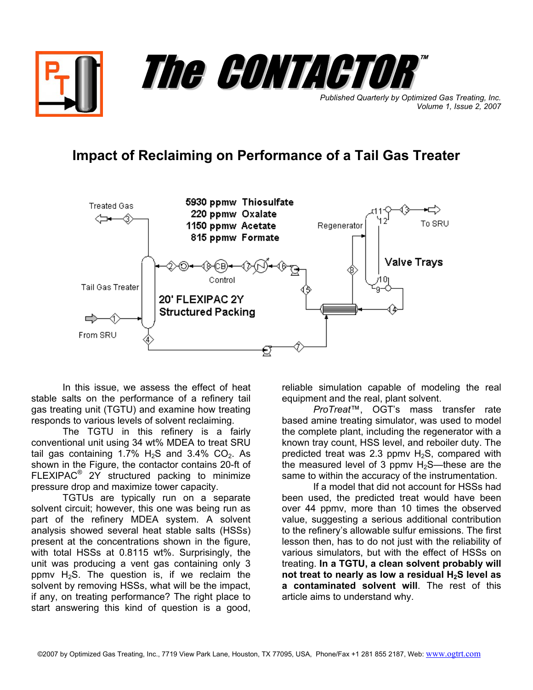

## **Impact of Reclaiming on Performance of a Tail Gas Treater**



In this issue, we assess the effect of heat stable salts on the performance of a refinery tail gas treating unit (TGTU) and examine how treating responds to various levels of solvent reclaiming.

The TGTU in this refinery is a fairly conventional unit using 34 wt% MDEA to treat SRU tail gas containing 1.7%  $H_2S$  and 3.4% CO<sub>2</sub>. As shown in the Figure, the contactor contains 20-ft of FLEXIPAC® 2Y structured packing to minimize pressure drop and maximize tower capacity.

TGTUs are typically run on a separate solvent circuit; however, this one was being run as part of the refinery MDEA system. A solvent analysis showed several heat stable salts (HSSs) present at the concentrations shown in the figure, with total HSSs at 0.8115 wt%. Surprisingly, the unit was producing a vent gas containing only 3 ppmv  $H_2S$ . The question is, if we reclaim the solvent by removing HSSs, what will be the impact, if any, on treating performance? The right place to start answering this kind of question is a good,

reliable simulation capable of modeling the real equipment and the real, plant solvent.

*ProTreat*™, OGT's mass transfer rate based amine treating simulator, was used to model the complete plant, including the regenerator with a known tray count, HSS level, and reboiler duty. The predicted treat was 2.3 ppmv  $H_2S$ , compared with the measured level of 3 ppmv  $H_2S$ —these are the same to within the accuracy of the instrumentation.

If a model that did not account for HSSs had been used, the predicted treat would have been over 44 ppmv, more than 10 times the observed value, suggesting a serious additional contribution to the refinery's allowable sulfur emissions. The first lesson then, has to do not just with the reliability of various simulators, but with the effect of HSSs on treating. **In a TGTU, a clean solvent probably will not treat to nearly as low a residual H2S level as a contaminated solvent will**. The rest of this article aims to understand why.